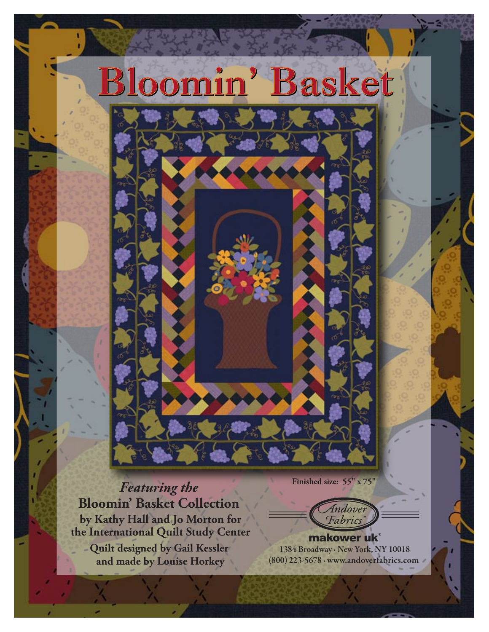

*Featuring the*  **Bloomin' Basket Collection by Kathy Hall and Jo Morton for the International Quilt Study Center Quilt designed by Gail Kessler and made by Louise Horkey**

**Finished size: 55" x 75"**

Indover **Fabrics** 

1384 Broadway · New York, NY 10018 (800) 223-5678 · www.andoverfabrics.com makower uk®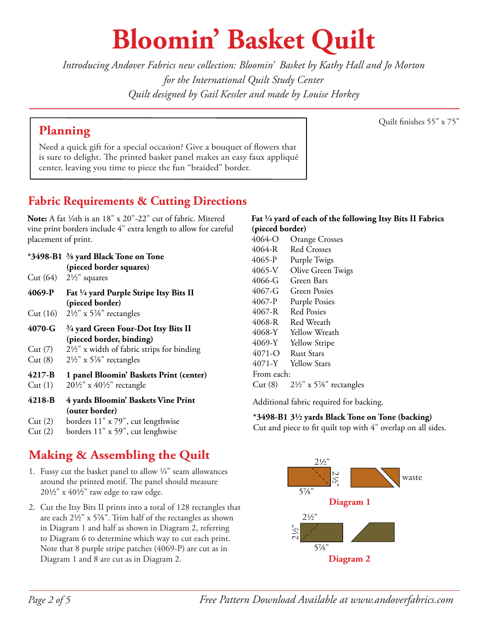## **Bloomin' Basket Quilt**

*Introducing Andover Fabrics new collection: Bloomin' Basket by Kathy Hall and Jo Morton for the International Quilt Study Center Quilt designed by Gail Kessler and made by Louise Horkey*

## **Planning**

Quilt finishes 55" x 75"

Need a quick gift for a special occasion? Give a bouquet of flowers that is sure to delight. The printed basket panel makes an easy faux appliqué center, leaving you time to piece the fun "braided" border.

## **Fabric Requirements & Cutting Directions**

Note: A fat <sup>1</sup>/<sub>4</sub>th is an 18" x 20"-22" cut of fabric. Mitered vine print borders include 4" extra length to allow for careful placement of print.

- **\*3498-B1 s yard Black Tone on Tone (pieced border squares)**
- Cut  $(64)$   $2\frac{1}{2}$  squares
- **4069-P Fat 4 yard Purple Stripe Itsy Bits II (pieced border)**
- Cut (16)  $2\frac{1}{2}$ " x 5%" rectangles
- **4070-G w yard Green Four-Dot Itsy Bits II (pieced border, binding)**
- Cut  $(7)$  2<sup>1</sup>/<sub>2</sub>" x width of fabric strips for binding
- Cut (8)  $2\frac{1}{2}$ " x 5<sup>7</sup>/<sub>8</sub>" rectangles
- **4217-B 1 panel Bloomin' Baskets Print (center)**
- Cut (1)  $20\frac{1}{2}$ " x  $40\frac{1}{2}$ " rectangle
- **4218-B 4 yards Bloomin' Baskets Vine Print (outer border)**
- Cut (2) borders 11" x 79", cut lengthwise
- Cut (2) borders 11" x 59", cut lenghwise

## **Making & Assembling the Quilt**

- 1. Fussy cut the basket panel to allow  $\frac{1}{4}$ " seam allowances around the printed motif. The panel should measure  $20\frac{1}{2}$ " x  $40\frac{1}{2}$ " raw edge to raw edge.
- 2. Cut the Itsy Bits II prints into a total of 128 rectangles that are each  $2\frac{1}{2}$ " x  $5\frac{7}{8}$ ". Trim half of the rectangles as shown in Diagram 1 and half as shown in Diagram 2, referring to Diagram 6 to determine which way to cut each print. Note that 8 purple stripe patches (4069-P) are cut as in Diagram 1 and 8 are cut as in Diagram 2.

#### **Fat 4 yard of each of the following Itsy Bits II Fabrics (pieced border)**

4064-O Orange Crosses 4064-R Red Crosses 4065-P Purple Twigs 4065-V Olive Green Twigs 4066-G Green Bars 4067-G Green Posies 4067-P Purple Posies 4067-R Red Posies 4068-R Red Wreath 4068-Y Yellow Wreath 4069-Y Yellow Stripe 4071-O Rust Stars 4071-Y Yellow Stars From each: Cut (8)  $2\frac{1}{2}$ " x 5%" rectangles

Additional fabric required for backing.

#### **\*3498-B1 32 yards Black Tone on Tone (backing)**

Cut and piece to fit quilt top with 4" overlap on all sides.

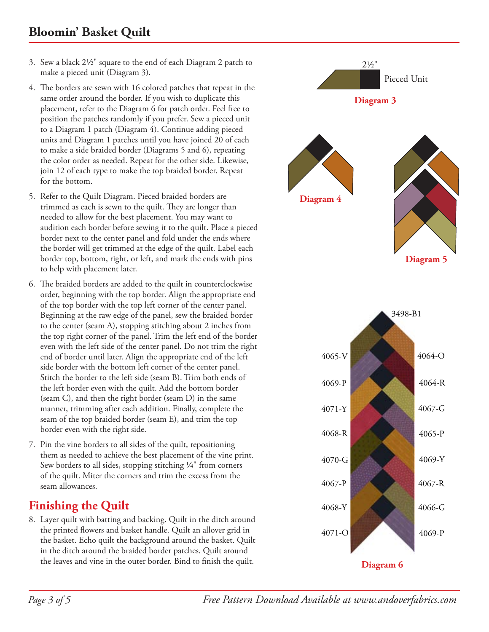### **Bloomin' Basket Quilt**

- 3. Sew a black  $2\frac{1}{2}$ " square to the end of each Diagram 2 patch to make a pieced unit (Diagram 3).
- 4. The borders are sewn with 16 colored patches that repeat in the same order around the border. If you wish to duplicate this placement, refer to the Diagram 6 for patch order. Feel free to position the patches randomly if you prefer. Sew a pieced unit to a Diagram 1 patch (Diagram 4). Continue adding pieced units and Diagram 1 patches until you have joined 20 of each to make a side braided border (Diagrams 5 and 6), repeating the color order as needed. Repeat for the other side. Likewise, join 12 of each type to make the top braided border. Repeat for the bottom.
- 5. Refer to the Quilt Diagram. Pieced braided borders are trimmed as each is sewn to the quilt. They are longer than needed to allow for the best placement. You may want to audition each border before sewing it to the quilt. Place a pieced border next to the center panel and fold under the ends where the border will get trimmed at the edge of the quilt. Label each border top, bottom, right, or left, and mark the ends with pins to help with placement later.
- 6. The braided borders are added to the quilt in counterclockwise order, beginning with the top border. Align the appropriate end of the top border with the top left corner of the center panel. Beginning at the raw edge of the panel, sew the braided border to the center (seam A), stopping stitching about 2 inches from the top right corner of the panel. Trim the left end of the border even with the left side of the center panel. Do not trim the right end of border until later. Align the appropriate end of the left side border with the bottom left corner of the center panel. Stitch the border to the left side (seam B). Trim both ends of the left border even with the quilt. Add the bottom border (seam C), and then the right border (seam D) in the same manner, trimming after each addition. Finally, complete the seam of the top braided border (seam E), and trim the top border even with the right side.
- 7. Pin the vine borders to all sides of the quilt, repositioning them as needed to achieve the best placement of the vine print. Sew borders to all sides, stopping stitching  $\frac{1}{4}$ " from corners of the quilt. Miter the corners and trim the excess from the seam allowances.

## **Finishing the Quilt**

8. Layer quilt with batting and backing. Quilt in the ditch around the printed flowers and basket handle. Quilt an allover grid in the basket. Echo quilt the background around the basket. Quilt in the ditch around the braided border patches. Quilt around the leaves and vine in the outer border. Bind to finish the quilt.

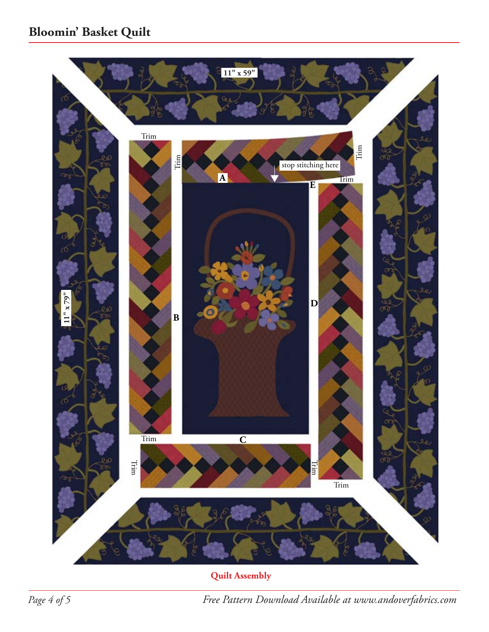

**Quilt Assembly**